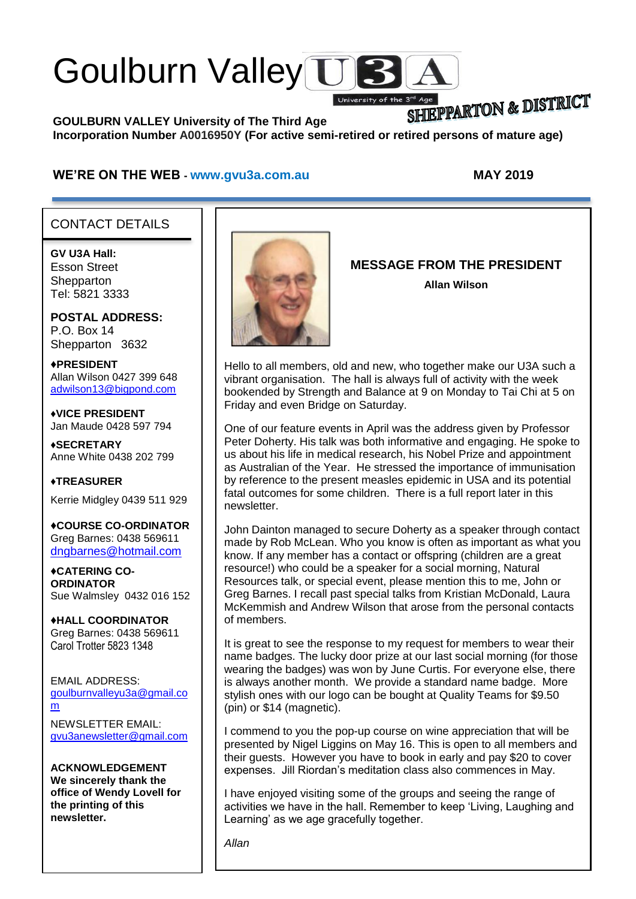# Goulburn Valley US

SHIEPPARTON & DISTRICT **GOULBURN VALLEY University of The Third Age Incorporation Number A0016950Y (For active semi-retired or retired persons of mature age)**

University of the

#### **WE'RE ON THE WEB - [www.gvu3a.com.au](http://www.gvu3a.com.au/) MAY 2019**

### CONTACT DETAILS

**GV U3A Hall:** Esson Street **Shepparton** Tel: 5821 3333

**POSTAL ADDRESS:** P.O. Box 14 Shepparton 3632

♦**PRESIDENT** Allan Wilson 0427 399 648 [adwilson13@bigpond.com](mailto:adwilson13@bigpond.com)

♦**VICE PRESIDENT** Jan Maude 0428 597 794

**♦SECRETARY** Anne White 0438 202 799

**♦TREASURER** Kerrie Midgley 0439 511 929

♦**COURSE CO-ORDINATOR** Greg Barnes: 0438 569611 [dngbarnes@hotmail.com](mailto:dngbarnes@hotmail.com)

♦**CATERING CO-ORDINATOR** Sue Walmsley 0432 016 152

♦**HALL COORDINATOR** Greg Barnes: 0438 569611 Carol Trotter 5823 1348

EMAIL ADDRESS: [goulburnvalleyu3a@gmail.co](mailto:goulburnvalleyu3a@gmail.com) [m](mailto:goulburnvalleyu3a@gmail.com)

NEWSLETTER EMAIL: [gvu3anewsletter@gmail.com](mailto:gvu3anewsletter@gmail.com)

**ACKNOWLEDGEMENT We sincerely thank the office of Wendy Lovell for the printing of this newsletter.**



**MESSAGE FROM THE PRESIDENT Allan Wilson**

Hello to all members, old and new, who together make our U3A such a vibrant organisation. The hall is always full of activity with the week bookended by Strength and Balance at 9 on Monday to Tai Chi at 5 on Friday and even Bridge on Saturday.

One of our feature events in April was the address given by Professor Peter Doherty. His talk was both informative and engaging. He spoke to us about his life in medical research, his Nobel Prize and appointment as Australian of the Year. He stressed the importance of immunisation by reference to the present measles epidemic in USA and its potential fatal outcomes for some children. There is a full report later in this newsletter.

John Dainton managed to secure Doherty as a speaker through contact made by Rob McLean. Who you know is often as important as what you know. If any member has a contact or offspring (children are a great resource!) who could be a speaker for a social morning, Natural Resources talk, or special event, please mention this to me, John or Greg Barnes. I recall past special talks from Kristian McDonald, Laura McKemmish and Andrew Wilson that arose from the personal contacts of members.

It is great to see the response to my request for members to wear their name badges. The lucky door prize at our last social morning (for those wearing the badges) was won by June Curtis. For everyone else, there is always another month. We provide a standard name badge. More stylish ones with our logo can be bought at Quality Teams for \$9.50 (pin) or \$14 (magnetic).

I commend to you the pop-up course on wine appreciation that will be presented by Nigel Liggins on May 16. This is open to all members and their guests. However you have to book in early and pay \$20 to cover expenses. Jill Riordan's meditation class also commences in May.

I have enjoyed visiting some of the groups and seeing the range of activities we have in the hall. Remember to keep 'Living, Laughing and Learning' as we age gracefully together.

*Allan*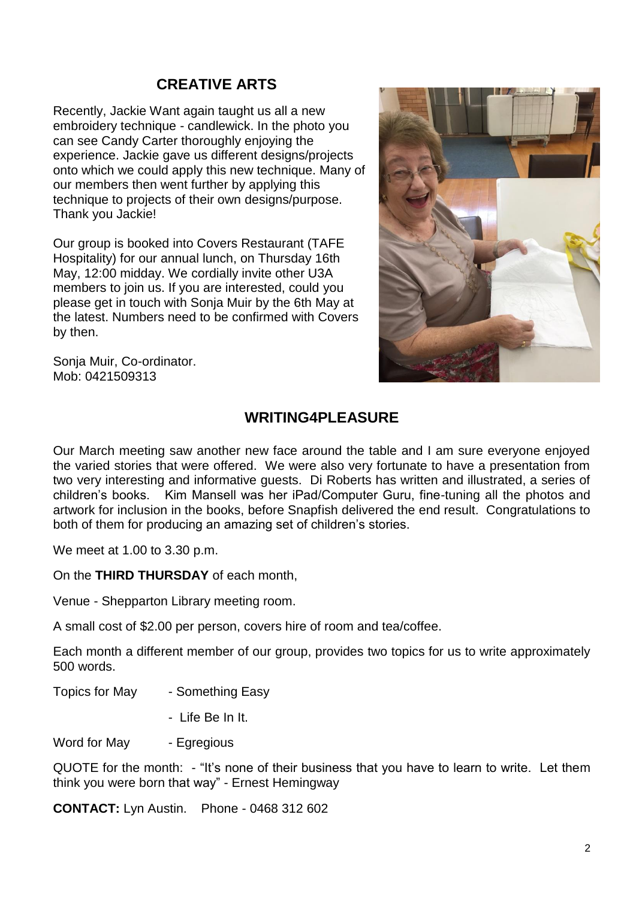# **CREATIVE ARTS**

Recently, Jackie Want again taught us all a new embroidery technique - candlewick. In the photo you can see Candy Carter thoroughly enjoying the experience. Jackie gave us different designs/projects onto which we could apply this new technique. Many of our members then went further by applying this technique to projects of their own designs/purpose. Thank you Jackie!

Our group is booked into Covers Restaurant (TAFE Hospitality) for our annual lunch, on Thursday 16th May, 12:00 midday. We cordially invite other U3A members to join us. If you are interested, could you please get in touch with Sonja Muir by the 6th May at the latest. Numbers need to be confirmed with Covers by then.



Sonja Muir, Co-ordinator. Mob: 0421509313

# **WRITING4PLEASURE**

Our March meeting saw another new face around the table and I am sure everyone enjoyed the varied stories that were offered. We were also very fortunate to have a presentation from two very interesting and informative guests. Di Roberts has written and illustrated, a series of children's books. Kim Mansell was her iPad/Computer Guru, fine-tuning all the photos and artwork for inclusion in the books, before Snapfish delivered the end result. Congratulations to both of them for producing an amazing set of children's stories.

We meet at 1.00 to 3.30 p.m.

On the **THIRD THURSDAY** of each month,

Venue - Shepparton Library meeting room.

A small cost of \$2.00 per person, covers hire of room and tea/coffee.

Each month a different member of our group, provides two topics for us to write approximately 500 words.

Topics for May - Something Easy

- Life Be In It.

Word for May - Egregious

QUOTE for the month: - "It's none of their business that you have to learn to write. Let them think you were born that way" - Ernest Hemingway

**CONTACT:** Lyn Austin. Phone - 0468 312 602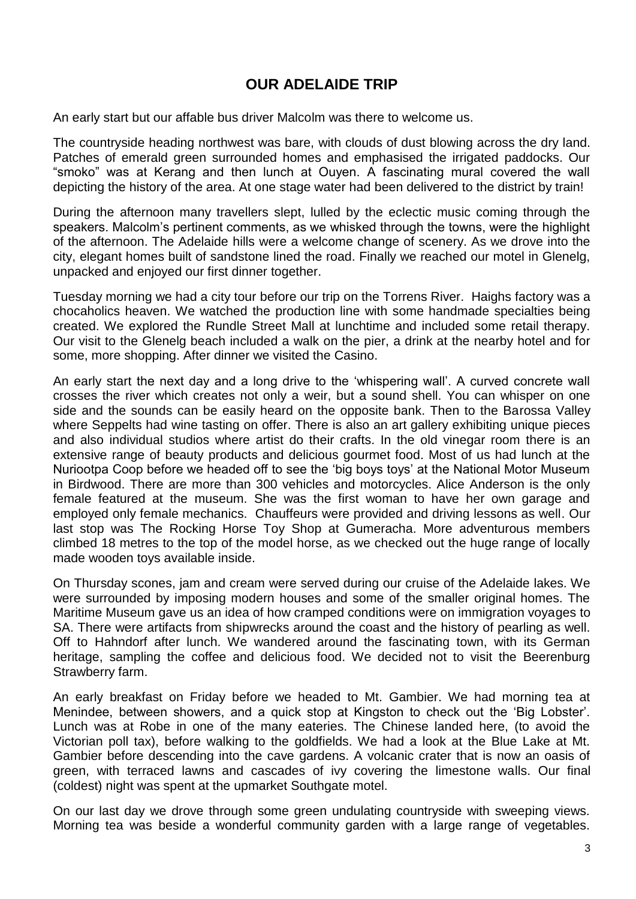# **OUR ADELAIDE TRIP**

An early start but our affable bus driver Malcolm was there to welcome us.

The countryside heading northwest was bare, with clouds of dust blowing across the dry land. Patches of emerald green surrounded homes and emphasised the irrigated paddocks. Our "smoko" was at Kerang and then lunch at Ouyen. A fascinating mural covered the wall depicting the history of the area. At one stage water had been delivered to the district by train!

During the afternoon many travellers slept, lulled by the eclectic music coming through the speakers. Malcolm's pertinent comments, as we whisked through the towns, were the highlight of the afternoon. The Adelaide hills were a welcome change of scenery. As we drove into the city, elegant homes built of sandstone lined the road. Finally we reached our motel in Glenelg, unpacked and enjoyed our first dinner together.

Tuesday morning we had a city tour before our trip on the Torrens River. Haighs factory was a chocaholics heaven. We watched the production line with some handmade specialties being created. We explored the Rundle Street Mall at lunchtime and included some retail therapy. Our visit to the Glenelg beach included a walk on the pier, a drink at the nearby hotel and for some, more shopping. After dinner we visited the Casino.

An early start the next day and a long drive to the 'whispering wall'. A curved concrete wall crosses the river which creates not only a weir, but a sound shell. You can whisper on one side and the sounds can be easily heard on the opposite bank. Then to the Barossa Valley where Seppelts had wine tasting on offer. There is also an art gallery exhibiting unique pieces and also individual studios where artist do their crafts. In the old vinegar room there is an extensive range of beauty products and delicious gourmet food. Most of us had lunch at the Nuriootpa Coop before we headed off to see the 'big boys toys' at the National Motor Museum in Birdwood. There are more than 300 vehicles and motorcycles. Alice Anderson is the only female featured at the museum. She was the first woman to have her own garage and employed only female mechanics. Chauffeurs were provided and driving lessons as well. Our last stop was The Rocking Horse Toy Shop at Gumeracha. More adventurous members climbed 18 metres to the top of the model horse, as we checked out the huge range of locally made wooden toys available inside.

On Thursday scones, jam and cream were served during our cruise of the Adelaide lakes. We were surrounded by imposing modern houses and some of the smaller original homes. The Maritime Museum gave us an idea of how cramped conditions were on immigration voyages to SA. There were artifacts from shipwrecks around the coast and the history of pearling as well. Off to Hahndorf after lunch. We wandered around the fascinating town, with its German heritage, sampling the coffee and delicious food. We decided not to visit the Beerenburg Strawberry farm.

An early breakfast on Friday before we headed to Mt. Gambier. We had morning tea at Menindee, between showers, and a quick stop at Kingston to check out the 'Big Lobster'. Lunch was at Robe in one of the many eateries. The Chinese landed here, (to avoid the Victorian poll tax), before walking to the goldfields. We had a look at the Blue Lake at Mt. Gambier before descending into the cave gardens. A volcanic crater that is now an oasis of green, with terraced lawns and cascades of ivy covering the limestone walls. Our final (coldest) night was spent at the upmarket Southgate motel.

On our last day we drove through some green undulating countryside with sweeping views. Morning tea was beside a wonderful community garden with a large range of vegetables.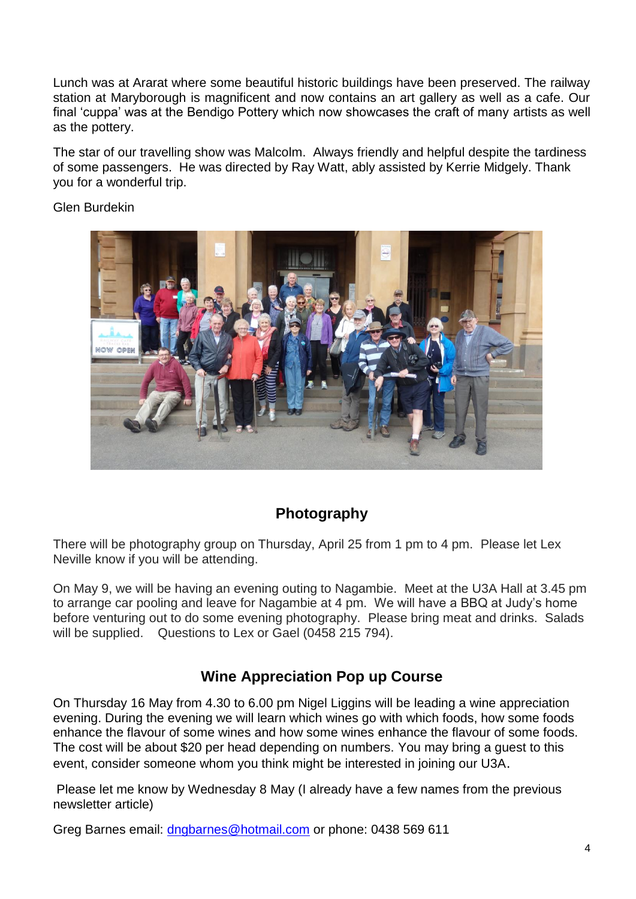Lunch was at Ararat where some beautiful historic buildings have been preserved. The railway station at Maryborough is magnificent and now contains an art gallery as well as a cafe. Our final 'cuppa' was at the Bendigo Pottery which now showcases the craft of many artists as well as the pottery.

The star of our travelling show was Malcolm. Always friendly and helpful despite the tardiness of some passengers. He was directed by Ray Watt, ably assisted by Kerrie Midgely. Thank you for a wonderful trip.

#### Glen Burdekin



# **Photography**

There will be photography group on Thursday, April 25 from 1 pm to 4 pm. Please let Lex Neville know if you will be attending.

On May 9, we will be having an evening outing to Nagambie. Meet at the U3A Hall at 3.45 pm to arrange car pooling and leave for Nagambie at 4 pm. We will have a BBQ at Judy's home before venturing out to do some evening photography. Please bring meat and drinks. Salads will be supplied. Questions to Lex or Gael (0458 215 794).

# **Wine Appreciation Pop up Course**

On Thursday 16 May from 4.30 to 6.00 pm Nigel Liggins will be leading a wine appreciation evening. During the evening we will learn which wines go with which foods, how some foods enhance the flavour of some wines and how some wines enhance the flavour of some foods. The cost will be about \$20 per head depending on numbers. You may bring a guest to this event, consider someone whom you think might be interested in joining our U3A.

Please let me know by Wednesday 8 May (I already have a few names from the previous newsletter article)

Greg Barnes email: [dngbarnes@hotmail.com](mailto:dngbarnes@hotmail.com) or phone: 0438 569 611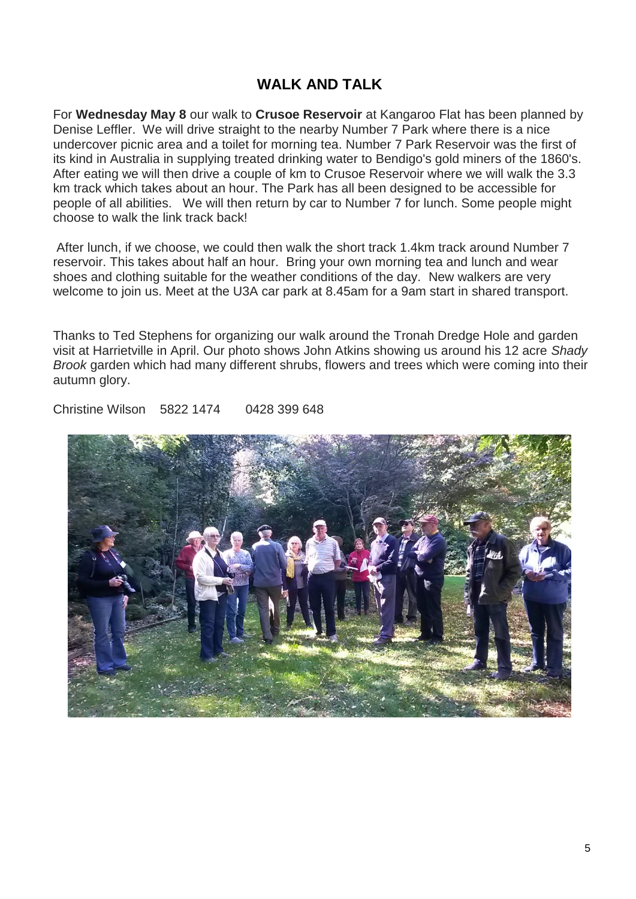# **WALK AND TALK**

For **Wednesday May 8** our walk to **Crusoe Reservoir** at Kangaroo Flat has been planned by Denise Leffler. We will drive straight to the nearby Number 7 Park where there is a nice undercover picnic area and a toilet for morning tea. Number 7 Park Reservoir was the first of its kind in Australia in supplying treated drinking water to Bendigo's gold miners of the 1860's. After eating we will then drive a couple of km to Crusoe Reservoir where we will walk the 3.3 km track which takes about an hour. The Park has all been designed to be accessible for people of all abilities. We will then return by car to Number 7 for lunch. Some people might choose to walk the link track back!

After lunch, if we choose, we could then walk the short track 1.4km track around Number 7 reservoir. This takes about half an hour. Bring your own morning tea and lunch and wear shoes and clothing suitable for the weather conditions of the day. New walkers are very welcome to join us. Meet at the U3A car park at 8.45am for a 9am start in shared transport.

Thanks to Ted Stephens for organizing our walk around the Tronah Dredge Hole and garden visit at Harrietville in April. Our photo shows John Atkins showing us around his 12 acre *Shady Brook* garden which had many different shrubs, flowers and trees which were coming into their autumn glory.

Christine Wilson 5822 1474 0428 399 648

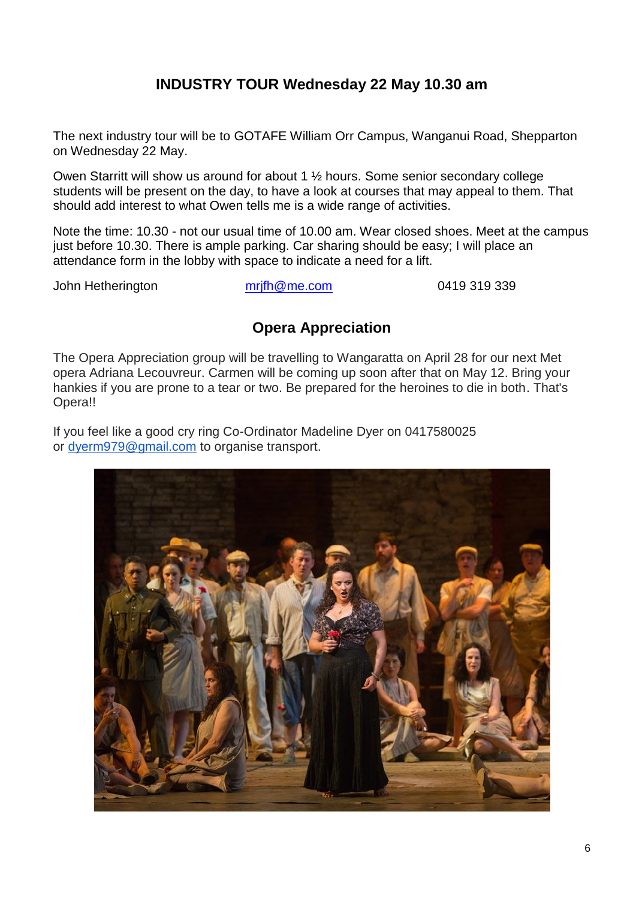# **INDUSTRY TOUR Wednesday 22 May 10.30 am**

The next industry tour will be to GOTAFE William Orr Campus, Wanganui Road, Shepparton on Wednesday 22 May.

Owen Starritt will show us around for about 1 ½ hours. Some senior secondary college students will be present on the day, to have a look at courses that may appeal to them. That should add interest to what Owen tells me is a wide range of activities.

Note the time: 10.30 - not our usual time of 10.00 am. Wear closed shoes. Meet at the campus just before 10.30. There is ample parking. Car sharing should be easy; I will place an attendance form in the lobby with space to indicate a need for a lift.

John Hetherington [mrjfh@me.com](mailto:mrjfh@me.com) 0419 319 339

# **Opera Appreciation**

The Opera Appreciation group will be travelling to Wangaratta on April 28 for our next Met opera Adriana Lecouvreur. Carmen will be coming up soon after that on May 12. Bring your hankies if you are prone to a tear or two. Be prepared for the heroines to die in both. That's Opera!!

If you feel like a good cry ring Co-Ordinator Madeline Dyer on 0417580025 or [dyerm979@gmail.com](mailto:dyerm979@gmail.com) to organise transport.

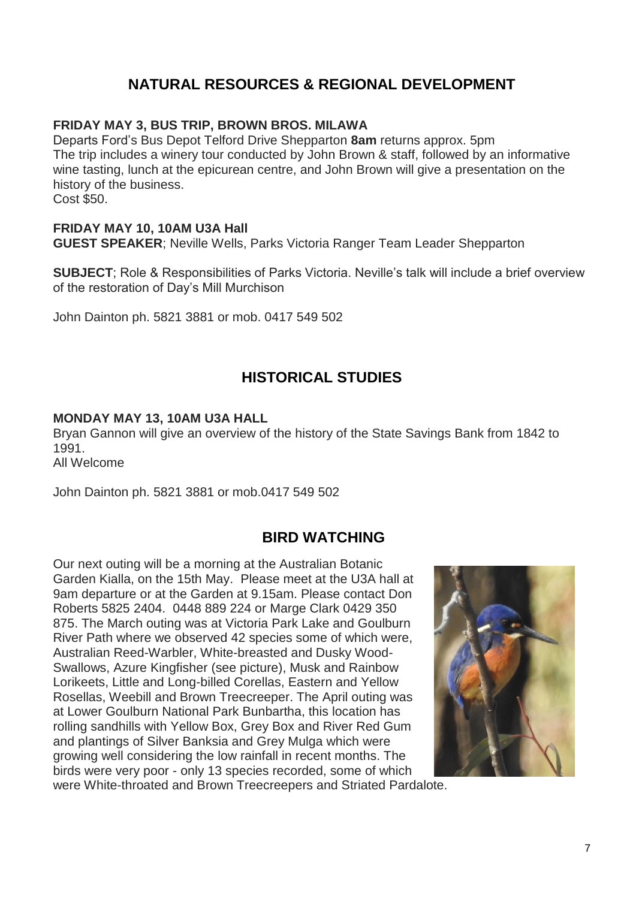# **NATURAL RESOURCES & REGIONAL DEVELOPMENT**

### **FRIDAY MAY 3, BUS TRIP, BROWN BROS. MILAWA**

Departs Ford's Bus Depot Telford Drive Shepparton **8am** returns approx. 5pm The trip includes a winery tour conducted by John Brown & staff, followed by an informative wine tasting, lunch at the epicurean centre, and John Brown will give a presentation on the history of the business.

Cost \$50.

#### **FRIDAY MAY 10, 10AM U3A Hall**

**GUEST SPEAKER**; Neville Wells, Parks Victoria Ranger Team Leader Shepparton

**SUBJECT**; Role & Responsibilities of Parks Victoria. Neville's talk will include a brief overview of the restoration of Day's Mill Murchison

John Dainton ph. 5821 3881 or mob. 0417 549 502

# **HISTORICAL STUDIES**

### **MONDAY MAY 13, 10AM U3A HALL**

Bryan Gannon will give an overview of the history of the State Savings Bank from 1842 to 1991. All Welcome

John Dainton ph. 5821 3881 or mob.0417 549 502

# **BIRD WATCHING**

Our next outing will be a morning at the Australian Botanic Garden Kialla, on the 15th May. Please meet at the U3A hall at 9am departure or at the Garden at 9.15am. Please contact Don Roberts 5825 2404. 0448 889 224 or Marge Clark 0429 350 875. The March outing was at Victoria Park Lake and Goulburn River Path where we observed 42 species some of which were, Australian Reed-Warbler, White-breasted and Dusky Wood-Swallows, Azure Kingfisher (see picture), Musk and Rainbow Lorikeets, Little and Long-billed Corellas, Eastern and Yellow Rosellas, Weebill and Brown Treecreeper. The April outing was at Lower Goulburn National Park Bunbartha, this location has rolling sandhills with Yellow Box, Grey Box and River Red Gum and plantings of Silver Banksia and Grey Mulga which were growing well considering the low rainfall in recent months. The birds were very poor - only 13 species recorded, some of which were White-throated and Brown Treecreepers and Striated Pardalote.

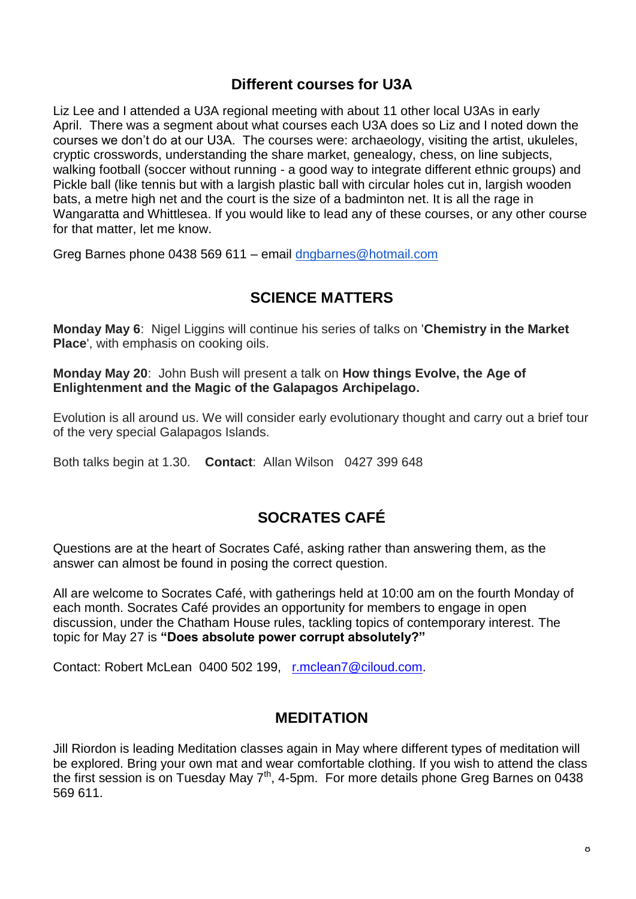# **Different courses for U3A**

Liz Lee and I attended a U3A regional meeting with about 11 other local U3As in early April. There was a segment about what courses each U3A does so Liz and I noted down the courses we don't do at our U3A. The courses were: archaeology, visiting the artist, ukuleles, cryptic crosswords, understanding the share market, genealogy, chess, on line subjects, walking football (soccer without running - a good way to integrate different ethnic groups) and Pickle ball (like tennis but with a largish plastic ball with circular holes cut in, largish wooden bats, a metre high net and the court is the size of a badminton net. It is all the rage in Wangaratta and Whittlesea. If you would like to lead any of these courses, or any other course for that matter, let me know.

Greg Barnes phone 0438 569 611 – email [dngbarnes@hotmail.com](mailto:dngbarnes@hotmail.com)

# **SCIENCE MATTERS**

**Monday May 6**: Nigel Liggins will continue his series of talks on '**Chemistry in the Market Place**', with emphasis on cooking oils.

**Monday May 20**: John Bush will present a talk on **How things Evolve, the Age of Enlightenment and the Magic of the Galapagos Archipelago.**

Evolution is all around us. We will consider early evolutionary thought and carry out a brief tour of the very special Galapagos Islands.

Both talks begin at 1.30. **Contact**: Allan Wilson 0427 399 648

# **SOCRATES CAFÉ**

Questions are at the heart of Socrates Café, asking rather than answering them, as the answer can almost be found in posing the correct question.

All are welcome to Socrates Café, with gatherings held at 10:00 am on the fourth Monday of each month. Socrates Café provides an opportunity for members to engage in open discussion, under the Chatham House rules, tackling topics of contemporary interest. The topic for May 27 is **"Does absolute power corrupt absolutely?"**

Contact: Robert McLean 0400 502 199, [r.mclean7@ciloud.com.](mailto:r.mclean7@ciloud.com)

## **MEDITATION**

Jill Riordon is leading Meditation classes again in May where different types of meditation will be explored. Bring your own mat and wear comfortable clothing. If you wish to attend the class the first session is on Tuesday May  $7<sup>th</sup>$ , 4-5pm. For more details phone Greg Barnes on 0438 569 611.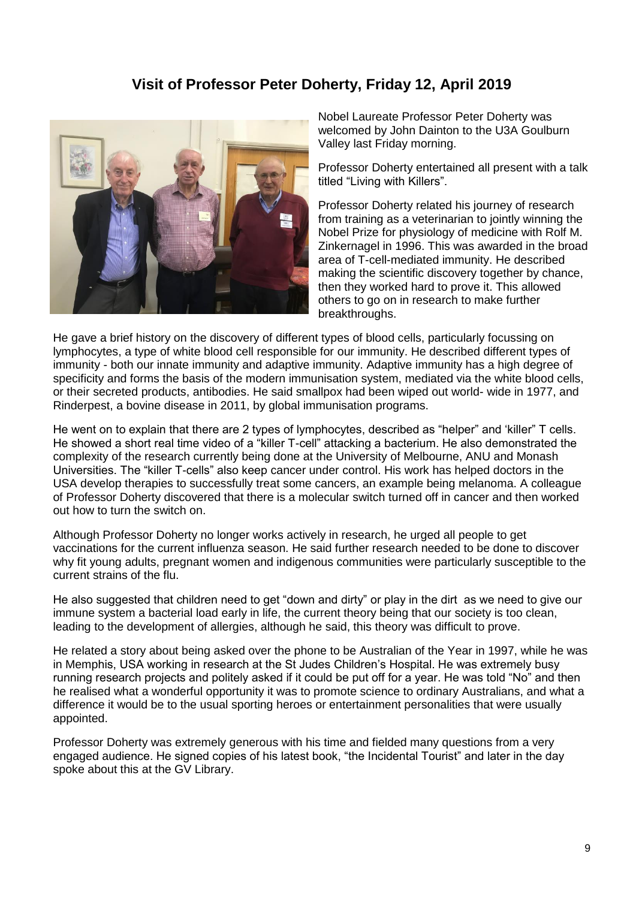# **Visit of Professor Peter Doherty, Friday 12, April 2019**



Nobel Laureate Professor Peter Doherty was welcomed by John Dainton to the U3A Goulburn Valley last Friday morning.

Professor Doherty entertained all present with a talk titled "Living with Killers".

Professor Doherty related his journey of research from training as a veterinarian to jointly winning the Nobel Prize for physiology of medicine with Rolf M. Zinkernagel in 1996. This was awarded in the broad area of T-cell-mediated immunity. He described making the scientific discovery together by chance, then they worked hard to prove it. This allowed others to go on in research to make further breakthroughs.

He gave a brief history on the discovery of different types of blood cells, particularly focussing on lymphocytes, a type of white blood cell responsible for our immunity. He described different types of immunity - both our innate immunity and adaptive immunity. Adaptive immunity has a high degree of specificity and forms the basis of the modern immunisation system, mediated via the white blood cells, or their secreted products, antibodies. He said smallpox had been wiped out world- wide in 1977, and Rinderpest, a bovine disease in 2011, by global immunisation programs.

He went on to explain that there are 2 types of lymphocytes, described as "helper" and 'killer" T cells. He showed a short real time video of a "killer T-cell" attacking a bacterium. He also demonstrated the complexity of the research currently being done at the University of Melbourne, ANU and Monash Universities. The "killer T-cells" also keep cancer under control. His work has helped doctors in the USA develop therapies to successfully treat some cancers, an example being melanoma. A colleague of Professor Doherty discovered that there is a molecular switch turned off in cancer and then worked out how to turn the switch on.

Although Professor Doherty no longer works actively in research, he urged all people to get vaccinations for the current influenza season. He said further research needed to be done to discover why fit young adults, pregnant women and indigenous communities were particularly susceptible to the current strains of the flu.

He also suggested that children need to get "down and dirty" or play in the dirt as we need to give our immune system a bacterial load early in life, the current theory being that our society is too clean, leading to the development of allergies, although he said, this theory was difficult to prove.

He related a story about being asked over the phone to be Australian of the Year in 1997, while he was in Memphis, USA working in research at the St Judes Children's Hospital. He was extremely busy running research projects and politely asked if it could be put off for a year. He was told "No" and then he realised what a wonderful opportunity it was to promote science to ordinary Australians, and what a difference it would be to the usual sporting heroes or entertainment personalities that were usually appointed.

Professor Doherty was extremely generous with his time and fielded many questions from a very engaged audience. He signed copies of his latest book, "the Incidental Tourist" and later in the day spoke about this at the GV Library.